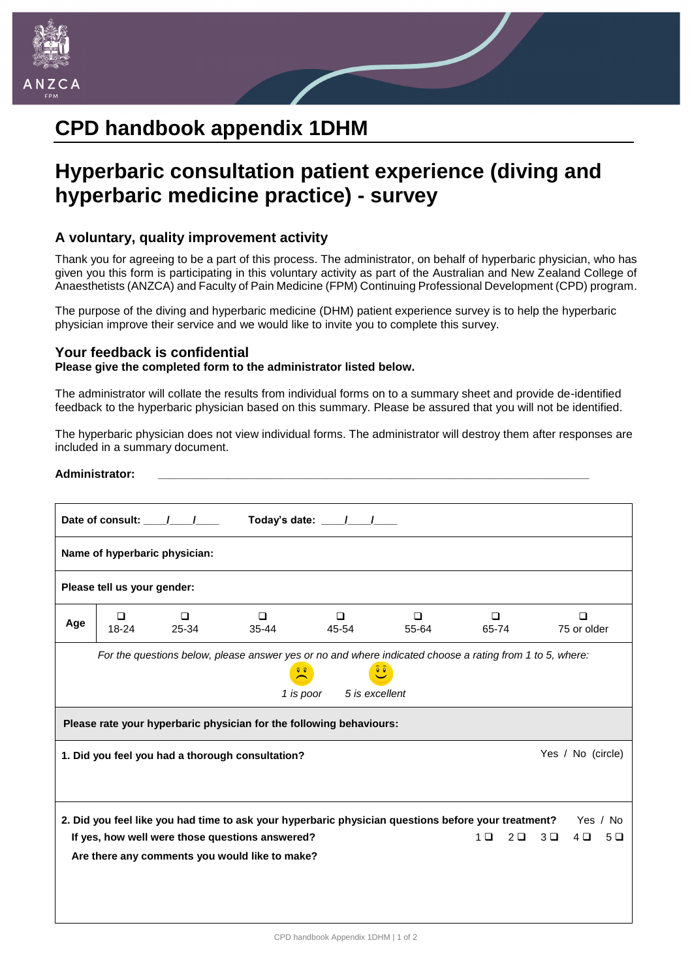

# **CPD handbook appendix 1DHM**

## **Hyperbaric consultation patient experience (diving and hyperbaric medicine practice) - survey**

### **A voluntary, quality improvement activity**

Thank you for agreeing to be a part of this process. The administrator, on behalf of hyperbaric physician, who has given you this form is participating in this voluntary activity as part of the Australian and New Zealand College of Anaesthetists (ANZCA) and Faculty of Pain Medicine (FPM) Continuing Professional Development (CPD) program.

The purpose of the diving and hyperbaric medicine (DHM) patient experience survey is to help the hyperbaric physician improve their service and we would like to invite you to complete this survey.

#### **Your feedback is confidential**

#### **Please give the completed form to the administrator listed below.**

The administrator will collate the results from individual forms on to a summary sheet and provide de-identified feedback to the hyperbaric physician based on this summary. Please be assured that you will not be identified.

The hyperbaric physician does not view individual forms. The administrator will destroy them after responses are included in a summary document.

| <b>Administrator:</b>                            |                     |                               |                                                                                                   |                                                                     |                                                                                                                                                       |                                  |                                      |  |  |  |
|--------------------------------------------------|---------------------|-------------------------------|---------------------------------------------------------------------------------------------------|---------------------------------------------------------------------|-------------------------------------------------------------------------------------------------------------------------------------------------------|----------------------------------|--------------------------------------|--|--|--|
| Today's date: \[\]<br>Date of consult: \[ \]     |                     |                               |                                                                                                   |                                                                     |                                                                                                                                                       |                                  |                                      |  |  |  |
|                                                  |                     | Name of hyperbaric physician: |                                                                                                   |                                                                     |                                                                                                                                                       |                                  |                                      |  |  |  |
| Please tell us your gender:                      |                     |                               |                                                                                                   |                                                                     |                                                                                                                                                       |                                  |                                      |  |  |  |
| Age                                              | $\Box$<br>$18 - 24$ | $\Box$<br>25-34               | $\Box$<br>$35 - 44$                                                                               | $\Box$<br>45-54                                                     | $\Box$<br>55-64                                                                                                                                       | $\Box$<br>65-74                  | $\Box$<br>75 or older                |  |  |  |
|                                                  |                     |                               |                                                                                                   | $\frac{1}{2}$<br>1 is poor<br>5 is excellent                        | For the questions below, please answer yes or no and where indicated choose a rating from 1 to 5, where:<br>$\overline{\bullet}$ $\overline{\bullet}$ |                                  |                                      |  |  |  |
|                                                  |                     |                               |                                                                                                   | Please rate your hyperbaric physician for the following behaviours: |                                                                                                                                                       |                                  |                                      |  |  |  |
| 1. Did you feel you had a thorough consultation? |                     |                               |                                                                                                   |                                                                     |                                                                                                                                                       |                                  | Yes / No (circle)                    |  |  |  |
|                                                  |                     |                               | If yes, how well were those questions answered?<br>Are there any comments you would like to make? |                                                                     | 2. Did you feel like you had time to ask your hyperbaric physician questions before your treatment?                                                   | 1 <sub>0</sub><br>2 <sub>0</sub> | Yes / No<br>$3\Box$<br>$4\Box$<br>5Q |  |  |  |